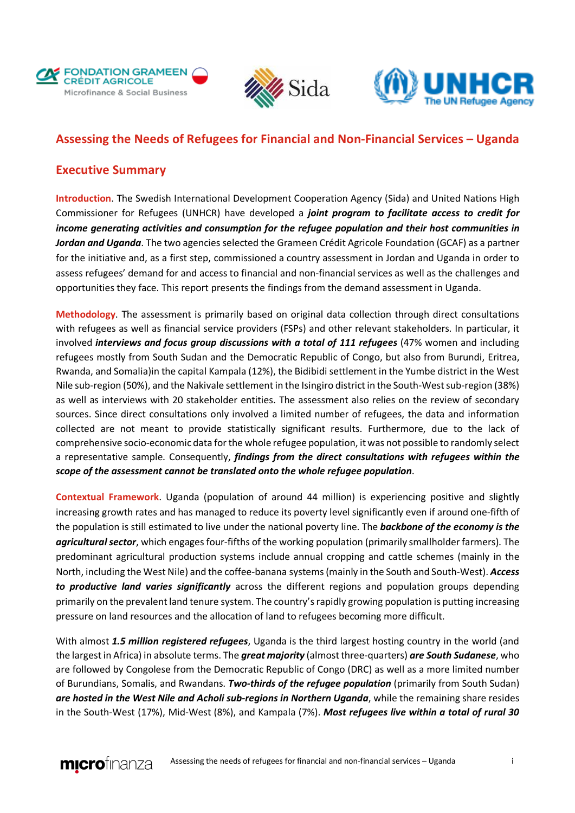





## **Assessing the Needs of Refugees for Financial and Non-Financial Services – Uganda**

## **Executive Summary**

**Introduction**. The Swedish International Development Cooperation Agency (Sida) and United Nations High Commissioner for Refugees (UNHCR) have developed a *joint program to facilitate access to credit for income generating activities and consumption for the refugee population and their host communities in*  Jordan and Uganda. The two agencies selected the Grameen Crédit Agricole Foundation (GCAF) as a partner for the initiative and, as a first step, commissioned a country assessment in Jordan and Uganda in order to assess refugees' demand for and access to financial and non-financial services as well as the challenges and opportunities they face. This report presents the findings from the demand assessment in Uganda.

**Methodology**. The assessment is primarily based on original data collection through direct consultations with refugees as well as financial service providers (FSPs) and other relevant stakeholders. In particular, it involved *interviews and focus group discussions with a total of 111 refugees* (47% women and including refugees mostly from South Sudan and the Democratic Republic of Congo, but also from Burundi, Eritrea, Rwanda, and Somalia)in the capital Kampala (12%), the Bidibidi settlement in the Yumbe district in the West Nile sub-region (50%), and the Nakivale settlement in the Isingiro district in the South-West sub-region (38%) as well as interviews with 20 stakeholder entities. The assessment also relies on the review of secondary sources. Since direct consultations only involved a limited number of refugees, the data and information collected are not meant to provide statistically significant results. Furthermore, due to the lack of comprehensive socio-economic data for the whole refugee population, it was not possible to randomly select a representative sample. Consequently, *findings from the direct consultations with refugees within the scope of the assessment cannot be translated onto the whole refugee population*.

**Contextual Framework**. Uganda (population of around 44 million) is experiencing positive and slightly increasing growth rates and has managed to reduce its poverty level significantly even if around one-fifth of the population is still estimated to live under the national poverty line. The *backbone of the economy is the agricultural sector*, which engages four-fifths of the working population (primarily smallholder farmers). The predominant agricultural production systems include annual cropping and cattle schemes (mainly in the North, including the West Nile) and the coffee-banana systems (mainly in the South and South-West). *Access to productive land varies significantly* across the different regions and population groups depending primarily on the prevalent land tenure system. The country's rapidly growing population is putting increasing pressure on land resources and the allocation of land to refugees becoming more difficult.

With almost *1.5 million registered refugees*, Uganda is the third largest hosting country in the world (and the largest in Africa) in absolute terms. The *great majority* (almost three-quarters) *are South Sudanese*, who are followed by Congolese from the Democratic Republic of Congo (DRC) as well as a more limited number of Burundians, Somalis, and Rwandans. *Two-thirds of the refugee population* (primarily from South Sudan) *are hosted in the West Nile and Acholi sub-regions in Northern Uganda*, while the remaining share resides in the South-West (17%), Mid-West (8%), and Kampala (7%). *Most refugees live within a total of rural 30*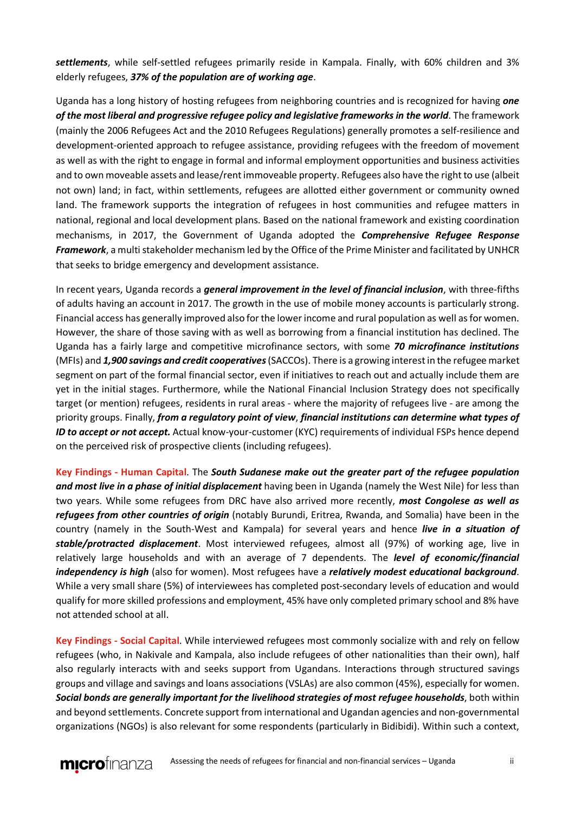*settlements*, while self-settled refugees primarily reside in Kampala. Finally, with 60% children and 3% elderly refugees, *37% of the population are of working age*.

Uganda has a long history of hosting refugees from neighboring countries and is recognized for having *one of the most liberal and progressive refugee policy and legislative frameworks in the world*. The framework (mainly the 2006 Refugees Act and the 2010 Refugees Regulations) generally promotes a self-resilience and development-oriented approach to refugee assistance, providing refugees with the freedom of movement as well as with the right to engage in formal and informal employment opportunities and business activities and to own moveable assets and lease/rent immoveable property. Refugees also have the right to use (albeit not own) land; in fact, within settlements, refugees are allotted either government or community owned land. The framework supports the integration of refugees in host communities and refugee matters in national, regional and local development plans. Based on the national framework and existing coordination mechanisms, in 2017, the Government of Uganda adopted the *Comprehensive Refugee Response Framework*, a multi stakeholder mechanism led by the Office of the Prime Minister and facilitated by UNHCR that seeks to bridge emergency and development assistance.

In recent years, Uganda records a *general improvement in the level of financial inclusion*, with three-fifths of adults having an account in 2017. The growth in the use of mobile money accounts is particularly strong. Financial access has generally improved also for the lower income and rural population as well as for women. However, the share of those saving with as well as borrowing from a financial institution has declined. The Uganda has a fairly large and competitive microfinance sectors, with some *70 microfinance institutions* (MFIs) and *1,900 savings and credit cooperatives*(SACCOs). There is a growing interest in the refugee market segment on part of the formal financial sector, even if initiatives to reach out and actually include them are yet in the initial stages. Furthermore, while the National Financial Inclusion Strategy does not specifically target (or mention) refugees, residents in rural areas - where the majority of refugees live - are among the priority groups. Finally, *from a regulatory point of view*, *financial institutions can determine what types of ID to accept or not accept.* Actual know-your-customer (KYC) requirements of individual FSPs hence depend on the perceived risk of prospective clients (including refugees).

**Key Findings - Human Capital**. The *South Sudanese make out the greater part of the refugee population and most live in a phase of initial displacement* having been in Uganda (namely the West Nile) for less than two years. While some refugees from DRC have also arrived more recently, *most Congolese as well as refugees from other countries of origin* (notably Burundi, Eritrea, Rwanda, and Somalia) have been in the country (namely in the South-West and Kampala) for several years and hence *live in a situation of stable/protracted displacement*. Most interviewed refugees, almost all (97%) of working age, live in relatively large households and with an average of 7 dependents. The *level of economic/financial independency is high* (also for women). Most refugees have a *relatively modest educational background*. While a very small share (5%) of interviewees has completed post-secondary levels of education and would qualify for more skilled professions and employment, 45% have only completed primary school and 8% have not attended school at all.

**Key Findings - Social Capital**. While interviewed refugees most commonly socialize with and rely on fellow refugees (who, in Nakivale and Kampala, also include refugees of other nationalities than their own), half also regularly interacts with and seeks support from Ugandans. Interactions through structured savings groups and village and savings and loans associations (VSLAs) are also common (45%), especially for women. *Social bonds are generally important for the livelihood strategies of most refugee households*, both within and beyond settlements. Concrete support from international and Ugandan agencies and non-governmental organizations (NGOs) is also relevant for some respondents (particularly in Bidibidi). Within such a context,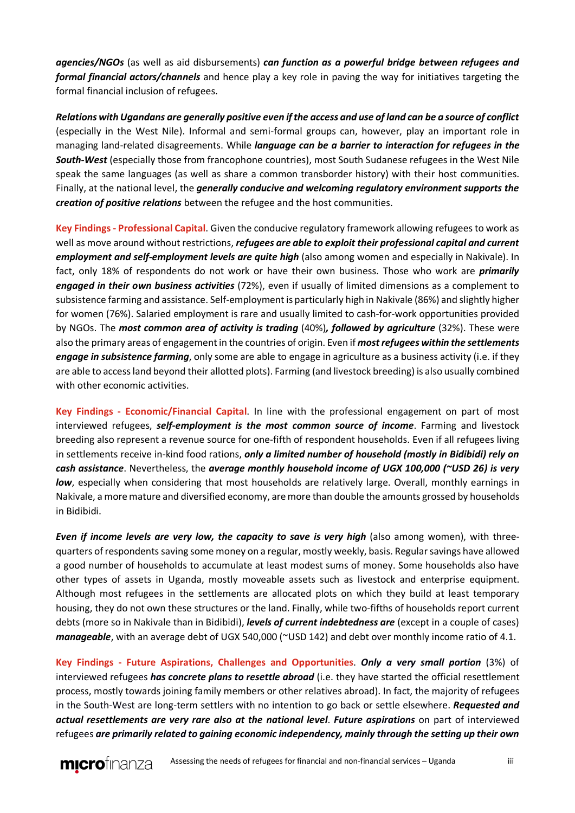*agencies/NGOs* (as well as aid disbursements) *can function as a powerful bridge between refugees and formal financial actors/channels* and hence play a key role in paving the way for initiatives targeting the formal financial inclusion of refugees.

*Relations with Ugandans are generally positive even if the access and use of land can be a source of conflict* (especially in the West Nile). Informal and semi-formal groups can, however, play an important role in managing land-related disagreements. While *language can be a barrier to interaction for refugees in the South-West* (especially those from francophone countries), most South Sudanese refugees in the West Nile speak the same languages (as well as share a common transborder history) with their host communities. Finally, at the national level, the *generally conducive and welcoming regulatory environment supports the creation of positive relations* between the refugee and the host communities.

**Key Findings - Professional Capital**. Given the conducive regulatory framework allowing refugees to work as well as move around without restrictions, *refugees are able to exploit their professional capital and current employment and self-employment levels are quite high* (also among women and especially in Nakivale). In fact, only 18% of respondents do not work or have their own business. Those who work are *primarily engaged in their own business activities* (72%), even if usually of limited dimensions as a complement to subsistence farming and assistance. Self-employment is particularly high in Nakivale (86%) and slightly higher for women (76%). Salaried employment is rare and usually limited to cash-for-work opportunities provided by NGOs. The *most common area of activity is trading* (40%)*, followed by agriculture* (32%). These were also the primary areas of engagement in the countries of origin. Even if *most refugees within the settlements engage in subsistence farming*, only some are able to engage in agriculture as a business activity (i.e. if they are able to access land beyond their allotted plots). Farming (and livestock breeding) is also usually combined with other economic activities.

**Key Findings - Economic/Financial Capital**. In line with the professional engagement on part of most interviewed refugees, *self-employment is the most common source of income*. Farming and livestock breeding also represent a revenue source for one-fifth of respondent households. Even if all refugees living in settlements receive in-kind food rations, *only a limited number of household (mostly in Bidibidi) rely on cash assistance*. Nevertheless, the *average monthly household income of UGX 100,000 (~USD 26) is very low*, especially when considering that most households are relatively large. Overall, monthly earnings in Nakivale, a more mature and diversified economy, are more than double the amounts grossed by households in Bidibidi.

*Even if income levels are very low, the capacity to save is very high* (also among women), with threequarters of respondents saving some money on a regular, mostly weekly, basis. Regular savings have allowed a good number of households to accumulate at least modest sums of money. Some households also have other types of assets in Uganda, mostly moveable assets such as livestock and enterprise equipment. Although most refugees in the settlements are allocated plots on which they build at least temporary housing, they do not own these structures or the land. Finally, while two-fifths of households report current debts (more so in Nakivale than in Bidibidi), *levels of current indebtedness are* (except in a couple of cases) *manageable*, with an average debt of UGX 540,000 (~USD 142) and debt over monthly income ratio of 4.1.

**Key Findings - Future Aspirations, Challenges and Opportunities**. *Only a very small portion* (3%) of interviewed refugees *has concrete plans to resettle abroad* (i.e. they have started the official resettlement process, mostly towards joining family members or other relatives abroad). In fact, the majority of refugees in the South-West are long-term settlers with no intention to go back or settle elsewhere. *Requested and actual resettlements are very rare also at the national level*. *Future aspirations* on part of interviewed refugees *are primarily related to gaining economic independency, mainly through the setting up their own* 

**micro**finanza Assessing the needs of refugees for financial and non-financial services – Uganda iii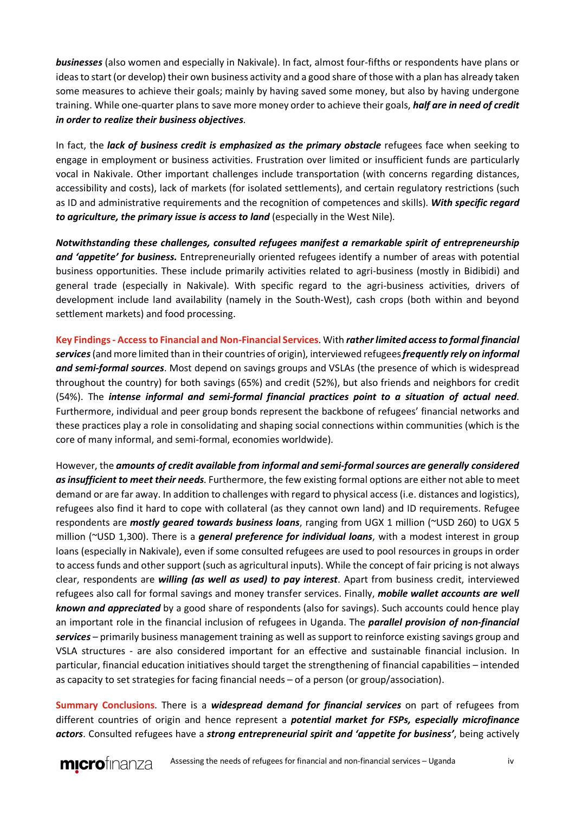*businesses* (also women and especially in Nakivale). In fact, almost four-fifths or respondents have plans or ideas to start (or develop) their own business activity and a good share of those with a plan has already taken some measures to achieve their goals; mainly by having saved some money, but also by having undergone training. While one-quarter plans to save more money order to achieve their goals, *half are in need of credit in order to realize their business objectives*.

In fact, the *lack of business credit is emphasized as the primary obstacle* refugees face when seeking to engage in employment or business activities. Frustration over limited or insufficient funds are particularly vocal in Nakivale. Other important challenges include transportation (with concerns regarding distances, accessibility and costs), lack of markets (for isolated settlements), and certain regulatory restrictions (such as ID and administrative requirements and the recognition of competences and skills). *With specific regard to agriculture, the primary issue is access to land* (especially in the West Nile).

*Notwithstanding these challenges, consulted refugees manifest a remarkable spirit of entrepreneurship and 'appetite' for business.* Entrepreneurially oriented refugees identify a number of areas with potential business opportunities. These include primarily activities related to agri-business (mostly in Bidibidi) and general trade (especially in Nakivale). With specific regard to the agri-business activities, drivers of development include land availability (namely in the South-West), cash crops (both within and beyond settlement markets) and food processing.

**Key Findings - Access to Financial and Non-Financial Services**. With *rather limited access to formal financial services* (and more limited than in their countries of origin), interviewed refugees *frequently rely on informal and semi-formal sources*. Most depend on savings groups and VSLAs (the presence of which is widespread throughout the country) for both savings (65%) and credit (52%), but also friends and neighbors for credit (54%). The *intense informal and semi-formal financial practices point to a situation of actual need*. Furthermore, individual and peer group bonds represent the backbone of refugees' financial networks and these practices play a role in consolidating and shaping social connections within communities (which is the core of many informal, and semi-formal, economies worldwide).

However, the *amounts of credit available from informal and semi-formal sources are generally considered as insufficient to meet their needs*. Furthermore, the few existing formal options are either not able to meet demand or are far away. In addition to challenges with regard to physical access (i.e. distances and logistics), refugees also find it hard to cope with collateral (as they cannot own land) and ID requirements. Refugee respondents are *mostly geared towards business loans*, ranging from UGX 1 million (~USD 260) to UGX 5 million (~USD 1,300). There is a *general preference for individual loans*, with a modest interest in group loans (especially in Nakivale), even if some consulted refugees are used to pool resources in groups in order to access funds and other support (such as agricultural inputs). While the concept of fair pricing is not always clear, respondents are *willing (as well as used) to pay interest*. Apart from business credit, interviewed refugees also call for formal savings and money transfer services. Finally, *mobile wallet accounts are well known and appreciated* by a good share of respondents (also for savings). Such accounts could hence play an important role in the financial inclusion of refugees in Uganda. The *parallel provision of non-financial services* – primarily business management training as well as support to reinforce existing savings group and VSLA structures - are also considered important for an effective and sustainable financial inclusion. In particular, financial education initiatives should target the strengthening of financial capabilities – intended as capacity to set strategies for facing financial needs – of a person (or group/association).

**Summary Conclusions**. There is a *widespread demand for financial services* on part of refugees from different countries of origin and hence represent a *potential market for FSPs, especially microfinance actors*. Consulted refugees have a *strong entrepreneurial spirit and 'appetite for business'*, being actively

**micro**finanza Assessing the needs of refugees for financial and non-financial services – Uganda iv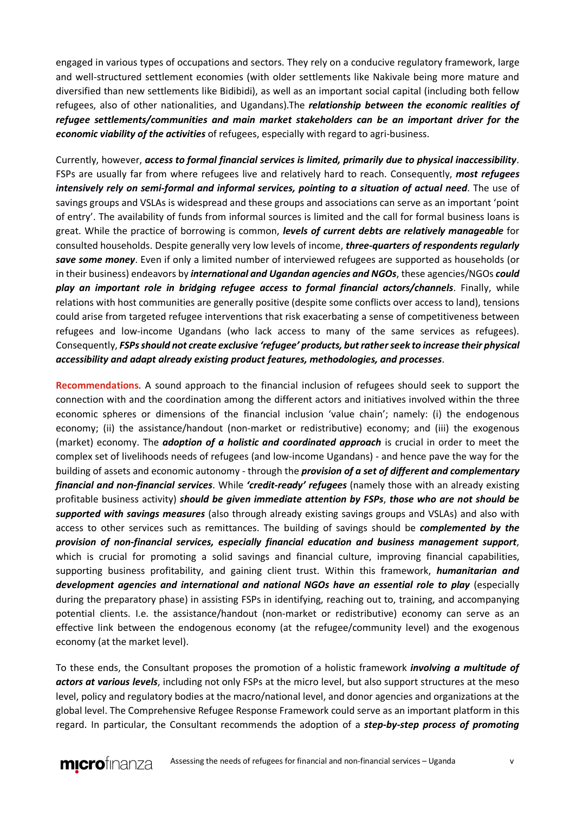engaged in various types of occupations and sectors. They rely on a conducive regulatory framework, large and well-structured settlement economies (with older settlements like Nakivale being more mature and diversified than new settlements like Bidibidi), as well as an important social capital (including both fellow refugees, also of other nationalities, and Ugandans).The *relationship between the economic realities of refugee settlements/communities and main market stakeholders can be an important driver for the economic viability of the activities* of refugees, especially with regard to agri-business.

Currently, however, *access to formal financial services is limited, primarily due to physical inaccessibility*. FSPs are usually far from where refugees live and relatively hard to reach. Consequently, *most refugees intensively rely on semi-formal and informal services, pointing to a situation of actual need*. The use of savings groups and VSLAs is widespread and these groups and associations can serve as an important 'point of entry'. The availability of funds from informal sources is limited and the call for formal business loans is great. While the practice of borrowing is common, *levels of current debts are relatively manageable* for consulted households. Despite generally very low levels of income, *three-quarters of respondents regularly save some money*. Even if only a limited number of interviewed refugees are supported as households (or in their business) endeavors by *international and Ugandan agencies and NGOs*, these agencies/NGOs *could play an important role in bridging refugee access to formal financial actors/channels*. Finally, while relations with host communities are generally positive (despite some conflicts over access to land), tensions could arise from targeted refugee interventions that risk exacerbating a sense of competitiveness between refugees and low-income Ugandans (who lack access to many of the same services as refugees). Consequently, *FSPs should not create exclusive 'refugee' products, but rather seek to increase their physical accessibility and adapt already existing product features, methodologies, and processes*.

**Recommendations**. A sound approach to the financial inclusion of refugees should seek to support the connection with and the coordination among the different actors and initiatives involved within the three economic spheres or dimensions of the financial inclusion 'value chain'; namely: (i) the endogenous economy; (ii) the assistance/handout (non-market or redistributive) economy; and (iii) the exogenous (market) economy. The *adoption of a holistic and coordinated approach* is crucial in order to meet the complex set of livelihoods needs of refugees (and low-income Ugandans) - and hence pave the way for the building of assets and economic autonomy - through the *provision of a set of different and complementary financial and non-financial services*. While *'credit-ready' refugees* (namely those with an already existing profitable business activity) *should be given immediate attention by FSPs*, *those who are not should be supported with savings measures* (also through already existing savings groups and VSLAs) and also with access to other services such as remittances. The building of savings should be *complemented by the provision of non-financial services, especially financial education and business management support*, which is crucial for promoting a solid savings and financial culture, improving financial capabilities, supporting business profitability, and gaining client trust. Within this framework, *humanitarian and development agencies and international and national NGOs have an essential role to play* (especially during the preparatory phase) in assisting FSPs in identifying, reaching out to, training, and accompanying potential clients. I.e. the assistance/handout (non-market or redistributive) economy can serve as an effective link between the endogenous economy (at the refugee/community level) and the exogenous economy (at the market level).

To these ends, the Consultant proposes the promotion of a holistic framework *involving a multitude of actors at various levels*, including not only FSPs at the micro level, but also support structures at the meso level, policy and regulatory bodies at the macro/national level, and donor agencies and organizations at the global level. The Comprehensive Refugee Response Framework could serve as an important platform in this regard. In particular, the Consultant recommends the adoption of a *step-by-step process of promoting*